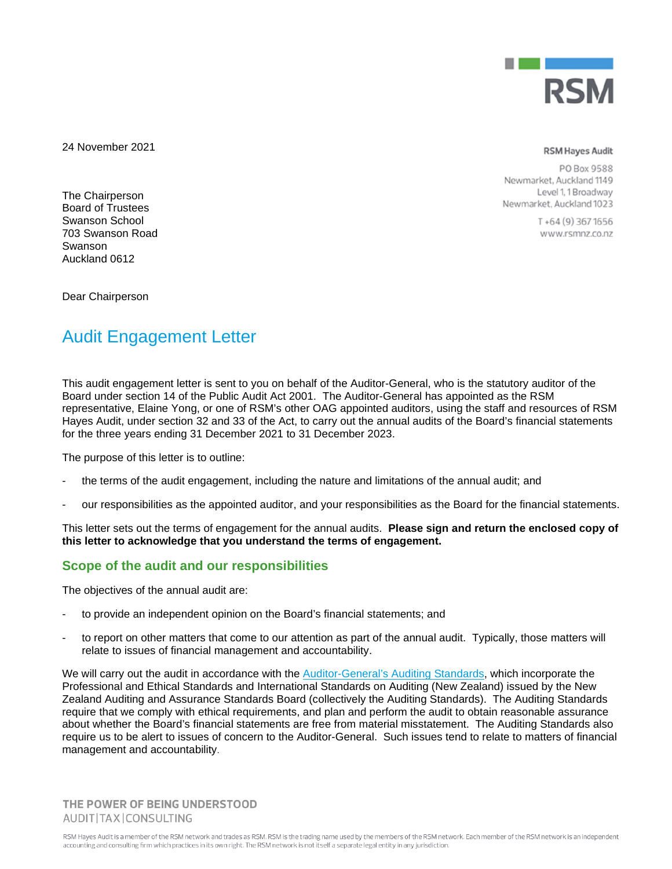

24 November 2021

**RSM Hayes Audit** 

PO Box 9588 Newmarket, Auckland 1149 Level 1, 1 Broadway Newmarket, Auckland 1023

> $T + 64(9)$  367 1656 www.rsmnz.co.nz

The Chairperson Board of Trustees Swanson School 703 Swanson Road Swanson Auckland 0612

Dear Chairperson

# Audit Engagement Letter

This audit engagement letter is sent to you on behalf of the Auditor-General, who is the statutory auditor of the Board under section 14 of the Public Audit Act 2001. The Auditor-General has appointed as the RSM representative, Elaine Yong, or one of RSM's other OAG appointed auditors, using the staff and resources of RSM Hayes Audit, under section 32 and 33 of the Act, to carry out the annual audits of the Board's financial statements for the three years ending 31 December 2021 to 31 December 2023.

The purpose of this letter is to outline:

- the terms of the audit engagement, including the nature and limitations of the annual audit; and
- our responsibilities as the appointed auditor, and your responsibilities as the Board for the financial statements.

This letter sets out the terms of engagement for the annual audits. **Please sign and return the enclosed copy of this letter to acknowledge that you understand the terms of engagement.**

## **Scope of the audit and our responsibilities**

The objectives of the annual audit are:

- to provide an independent opinion on the Board's financial statements; and
- to report on other matters that come to our attention as part of the annual audit. Typically, those matters will relate to issues of financial management and accountability.

We will carry out the audit in accordance with the Auditor-General's Auditing Standards, which incorporate the Professional and Ethical Standards and International Standards on Auditing (New Zealand) issued by the New Zealand Auditing and Assurance Standards Board (collectively the Auditing Standards). The Auditing Standards require that we comply with ethical requirements, and plan and perform the audit to obtain reasonable assurance about whether the Board's financial statements are free from material misstatement. The Auditing Standards also require us to be alert to issues of concern to the Auditor-General. Such issues tend to relate to matters of financial management and accountability.

THE POWER OF BEING UNDERSTOOD AUDIT|TAX|CONSULTING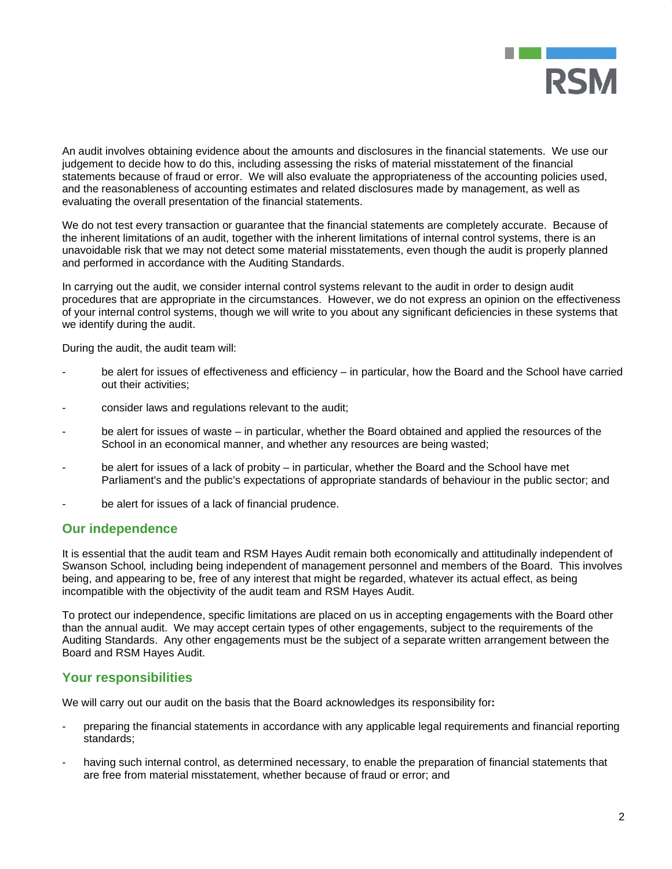

An audit involves obtaining evidence about the amounts and disclosures in the financial statements. We use our judgement to decide how to do this, including assessing the risks of material misstatement of the financial statements because of fraud or error. We will also evaluate the appropriateness of the accounting policies used, and the reasonableness of accounting estimates and related disclosures made by management, as well as evaluating the overall presentation of the financial statements.

We do not test every transaction or guarantee that the financial statements are completely accurate. Because of the inherent limitations of an audit, together with the inherent limitations of internal control systems, there is an unavoidable risk that we may not detect some material misstatements, even though the audit is properly planned and performed in accordance with the Auditing Standards.

In carrying out the audit, we consider internal control systems relevant to the audit in order to design audit procedures that are appropriate in the circumstances. However, we do not express an opinion on the effectiveness of your internal control systems, though we will write to you about any significant deficiencies in these systems that we identify during the audit.

During the audit, the audit team will:

- be alert for issues of effectiveness and efficiency in particular, how the Board and the School have carried out their activities;
- consider laws and regulations relevant to the audit;
- be alert for issues of waste in particular, whether the Board obtained and applied the resources of the School in an economical manner, and whether any resources are being wasted;
- be alert for issues of a lack of probity in particular, whether the Board and the School have met Parliament's and the public's expectations of appropriate standards of behaviour in the public sector; and
- be alert for issues of a lack of financial prudence.

#### **Our independence**

It is essential that the audit team and RSM Hayes Audit remain both economically and attitudinally independent of Swanson School*,* including being independent of management personnel and members of the Board. This involves being, and appearing to be, free of any interest that might be regarded, whatever its actual effect, as being incompatible with the objectivity of the audit team and RSM Hayes Audit.

To protect our independence, specific limitations are placed on us in accepting engagements with the Board other than the annual audit. We may accept certain types of other engagements, subject to the requirements of the Auditing Standards. Any other engagements must be the subject of a separate written arrangement between the Board and RSM Hayes Audit.

#### **Your responsibilities**

We will carry out our audit on the basis that the Board acknowledges its responsibility for**:** 

- preparing the financial statements in accordance with any applicable legal requirements and financial reporting standards;
- having such internal control, as determined necessary, to enable the preparation of financial statements that are free from material misstatement, whether because of fraud or error; and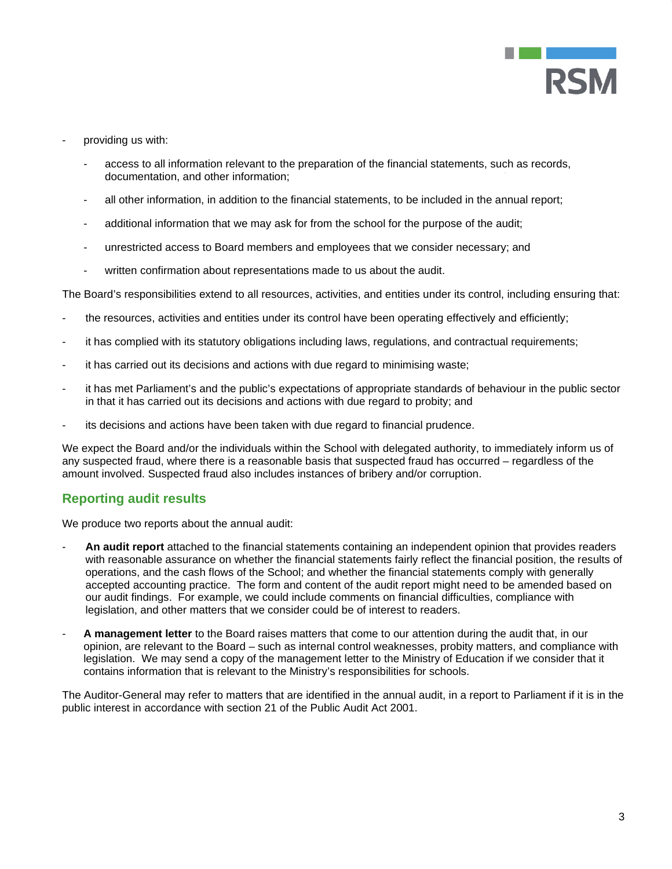

- providing us with:
	- access to all information relevant to the preparation of the financial statements, such as records, documentation, and other information;
	- all other information, in addition to the financial statements, to be included in the annual report;
	- additional information that we may ask for from the school for the purpose of the audit;
	- unrestricted access to Board members and employees that we consider necessary; and
	- written confirmation about representations made to us about the audit.

The Board's responsibilities extend to all resources, activities, and entities under its control, including ensuring that:

- the resources, activities and entities under its control have been operating effectively and efficiently;
- it has complied with its statutory obligations including laws, regulations, and contractual requirements;
- it has carried out its decisions and actions with due regard to minimising waste;
- it has met Parliament's and the public's expectations of appropriate standards of behaviour in the public sector in that it has carried out its decisions and actions with due regard to probity; and
- its decisions and actions have been taken with due regard to financial prudence.

We expect the Board and/or the individuals within the School with delegated authority, to immediately inform us of any suspected fraud, where there is a reasonable basis that suspected fraud has occurred – regardless of the amount involved. Suspected fraud also includes instances of bribery and/or corruption.

### **Reporting audit results**

We produce two reports about the annual audit:

- **An audit report** attached to the financial statements containing an independent opinion that provides readers with reasonable assurance on whether the financial statements fairly reflect the financial position, the results of operations, and the cash flows of the School; and whether the financial statements comply with generally accepted accounting practice. The form and content of the audit report might need to be amended based on our audit findings. For example, we could include comments on financial difficulties, compliance with legislation, and other matters that we consider could be of interest to readers.
- **A management letter** to the Board raises matters that come to our attention during the audit that, in our opinion, are relevant to the Board – such as internal control weaknesses, probity matters, and compliance with legislation. We may send a copy of the management letter to the Ministry of Education if we consider that it contains information that is relevant to the Ministry's responsibilities for schools.

The Auditor-General may refer to matters that are identified in the annual audit, in a report to Parliament if it is in the public interest in accordance with section 21 of the Public Audit Act 2001.